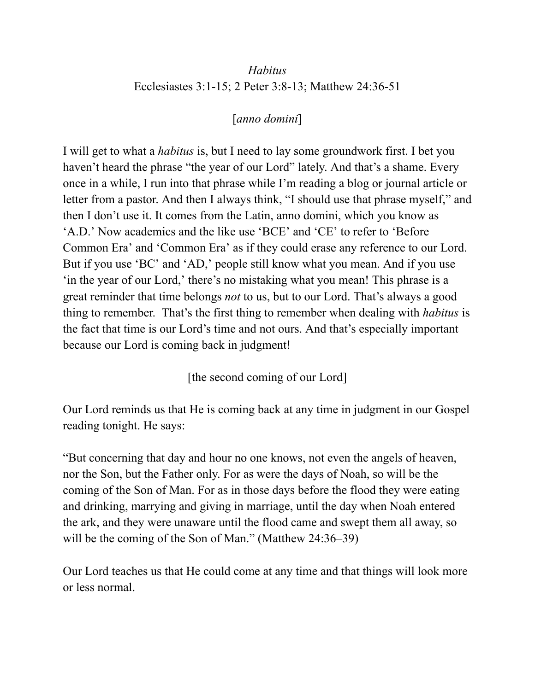# *Habitus* Ecclesiastes 3:1-15; 2 Peter 3:8-13; Matthew 24:36-51

## [*anno domini*]

I will get to what a *habitus* is, but I need to lay some groundwork first. I bet you haven't heard the phrase "the year of our Lord" lately. And that's a shame. Every once in a while, I run into that phrase while I'm reading a blog or journal article or letter from a pastor. And then I always think, "I should use that phrase myself," and then I don't use it. It comes from the Latin, anno domini, which you know as 'A.D.' Now academics and the like use 'BCE' and 'CE' to refer to 'Before Common Era' and 'Common Era' as if they could erase any reference to our Lord. But if you use 'BC' and 'AD,' people still know what you mean. And if you use 'in the year of our Lord,' there's no mistaking what you mean! This phrase is a great reminder that time belongs *not* to us, but to our Lord. That's always a good thing to remember. That's the first thing to remember when dealing with *habitus* is the fact that time is our Lord's time and not ours. And that's especially important because our Lord is coming back in judgment!

[the second coming of our Lord]

Our Lord reminds us that He is coming back at any time in judgment in our Gospel reading tonight. He says:

"But concerning that day and hour no one knows, not even the angels of heaven, nor the Son, but the Father only. For as were the days of Noah, so will be the coming of the Son of Man. For as in those days before the flood they were eating and drinking, marrying and giving in marriage, until the day when Noah entered the ark, and they were unaware until the flood came and swept them all away, so will be the coming of the Son of Man." (Matthew 24:36–39)

Our Lord teaches us that He could come at any time and that things will look more or less normal.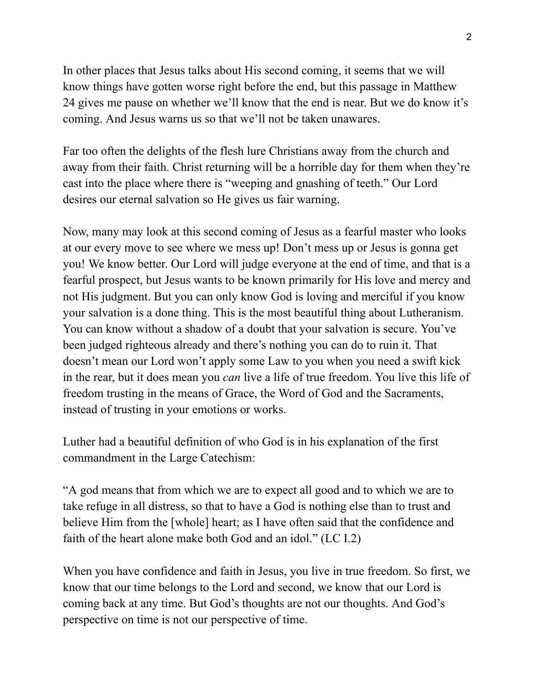In other places that Jesus talks about His second coming, it seems that we will know things have gotten worse right before the end, but this passage in Matthew 24 gives me pause on whether we'll know that the end is near. But we do know it's coming. And Jesus warns us so that we'll not be taken unawares.

Far too often the delights of the flesh lure Christians away from the church and away from their faith. Christ returning will be a horrible day for them when they're cast into the place where there is "weeping and gnashing of teeth." Our Lord desires our eternal salvation so He gives us fair warning.

Now, many may look at this second coming of Jesus as a fearful master who looks at our every move to see where we mess up! Don't mess up or Jesus is gonna get you! We know better. Our Lord will judge everyone at the end of time, and that is a fearful prospect, but Jesus wants to be known primarily for His love and mercy and not His judgment. But you can only know God is loving and merciful if you know your salvation is a done thing. This is the most beautiful thing about Lutheranism. You can know without a shadow of a doubt that your salvation is secure. You've been judged righteous already and there's nothing you can do to ruin it. That doesn't mean our Lord won't apply some Law to you when you need a swift kick in the rear, but it does mean you *can* live a life of true freedom. You live this life of freedom trusting in the means of Grace, the Word of God and the Sacraments, instead of trusting in your emotions or works.

Luther had a beautiful definition of who God is in his explanation of the first commandment in the Large Catechism:

"A god means that from which we are to expect all good and to which we are to take refuge in all distress, so that to have a God is nothing else than to trust and believe Him from the [whole] heart; as I have often said that the confidence and faith of the heart alone make both God and an idol." (LC I.2)

When you have confidence and faith in Jesus, you live in true freedom. So first, we know that our time belongs to the Lord and second, we know that our Lord is coming back at any time. But God's thoughts are not our thoughts. And God's perspective on time is not our perspective of time.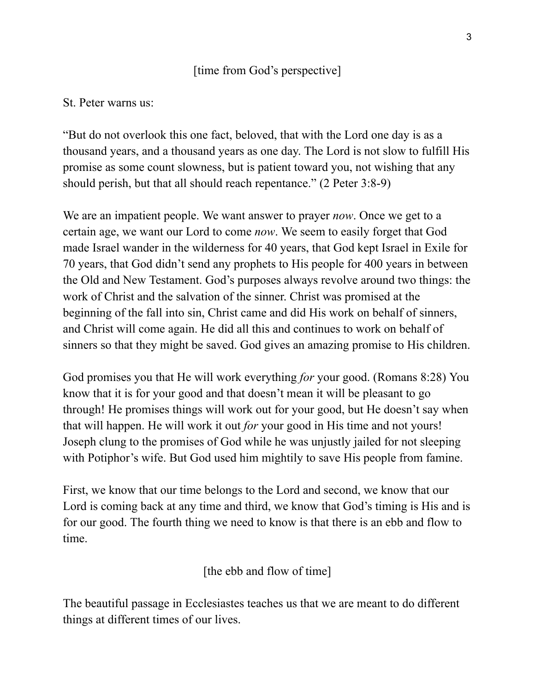## [time from God's perspective]

### St. Peter warns us:

"But do not overlook this one fact, beloved, that with the Lord one day is as a thousand years, and a thousand years as one day. The Lord is not slow to fulfill His promise as some count slowness, but is patient toward you, not wishing that any should perish, but that all should reach repentance." (2 Peter 3:8-9)

We are an impatient people. We want answer to prayer *now*. Once we get to a certain age, we want our Lord to come *now*. We seem to easily forget that God made Israel wander in the wilderness for 40 years, that God kept Israel in Exile for 70 years, that God didn't send any prophets to His people for 400 years in between the Old and New Testament. God's purposes always revolve around two things: the work of Christ and the salvation of the sinner. Christ was promised at the beginning of the fall into sin, Christ came and did His work on behalf of sinners, and Christ will come again. He did all this and continues to work on behalf of sinners so that they might be saved. God gives an amazing promise to His children.

God promises you that He will work everything *for* your good. (Romans 8:28) You know that it is for your good and that doesn't mean it will be pleasant to go through! He promises things will work out for your good, but He doesn't say when that will happen. He will work it out *for* your good in His time and not yours! Joseph clung to the promises of God while he was unjustly jailed for not sleeping with Potiphor's wife. But God used him mightily to save His people from famine.

First, we know that our time belongs to the Lord and second, we know that our Lord is coming back at any time and third, we know that God's timing is His and is for our good. The fourth thing we need to know is that there is an ebb and flow to time.

[the ebb and flow of time]

The beautiful passage in Ecclesiastes teaches us that we are meant to do different things at different times of our lives.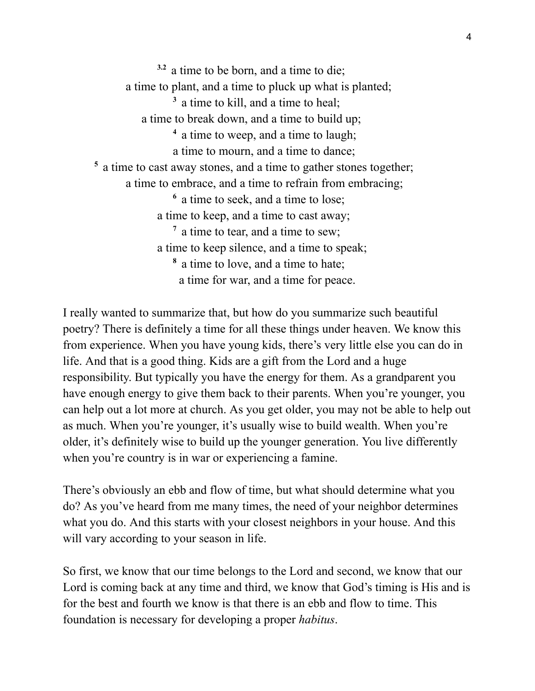**3.2** a time to be born, and a time to die; a time to plant, and a time to pluck up what is planted; **<sup>3</sup>** a time to kill, and a time to heal; a time to break down, and a time to build up; **<sup>4</sup>** a time to weep, and a time to laugh; a time to mourn, and a time to dance; **<sup>5</sup>** a time to cast away stones, and a time to gather stones together; a time to embrace, and a time to refrain from embracing; **<sup>6</sup>** a time to seek, and a time to lose; a time to keep, and a time to cast away; <sup>7</sup> a time to tear, and a time to sew; a time to keep silence, and a time to speak; **<sup>8</sup>** a time to love, and a time to hate; a time for war, and a time for peace.

I really wanted to summarize that, but how do you summarize such beautiful poetry? There is definitely a time for all these things under heaven. We know this from experience. When you have young kids, there's very little else you can do in life. And that is a good thing. Kids are a gift from the Lord and a huge responsibility. But typically you have the energy for them. As a grandparent you have enough energy to give them back to their parents. When you're younger, you can help out a lot more at church. As you get older, you may not be able to help out as much. When you're younger, it's usually wise to build wealth. When you're older, it's definitely wise to build up the younger generation. You live differently when you're country is in war or experiencing a famine.

There's obviously an ebb and flow of time, but what should determine what you do? As you've heard from me many times, the need of your neighbor determines what you do. And this starts with your closest neighbors in your house. And this will vary according to your season in life.

So first, we know that our time belongs to the Lord and second, we know that our Lord is coming back at any time and third, we know that God's timing is His and is for the best and fourth we know is that there is an ebb and flow to time. This foundation is necessary for developing a proper *habitus*.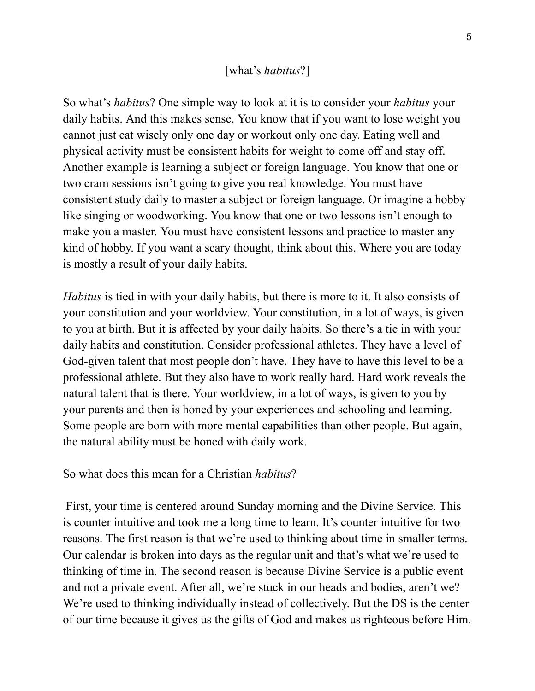#### [what's *habitus*?]

So what's *habitus*? One simple way to look at it is to consider your *habitus* your daily habits. And this makes sense. You know that if you want to lose weight you cannot just eat wisely only one day or workout only one day. Eating well and physical activity must be consistent habits for weight to come off and stay off. Another example is learning a subject or foreign language. You know that one or two cram sessions isn't going to give you real knowledge. You must have consistent study daily to master a subject or foreign language. Or imagine a hobby like singing or woodworking. You know that one or two lessons isn't enough to make you a master. You must have consistent lessons and practice to master any kind of hobby. If you want a scary thought, think about this. Where you are today is mostly a result of your daily habits.

*Habitus* is tied in with your daily habits, but there is more to it. It also consists of your constitution and your worldview. Your constitution, in a lot of ways, is given to you at birth. But it is affected by your daily habits. So there's a tie in with your daily habits and constitution. Consider professional athletes. They have a level of God-given talent that most people don't have. They have to have this level to be a professional athlete. But they also have to work really hard. Hard work reveals the natural talent that is there. Your worldview, in a lot of ways, is given to you by your parents and then is honed by your experiences and schooling and learning. Some people are born with more mental capabilities than other people. But again, the natural ability must be honed with daily work.

So what does this mean for a Christian *habitus*?

First, your time is centered around Sunday morning and the Divine Service. This is counter intuitive and took me a long time to learn. It's counter intuitive for two reasons. The first reason is that we're used to thinking about time in smaller terms. Our calendar is broken into days as the regular unit and that's what we're used to thinking of time in. The second reason is because Divine Service is a public event and not a private event. After all, we're stuck in our heads and bodies, aren't we? We're used to thinking individually instead of collectively. But the DS is the center of our time because it gives us the gifts of God and makes us righteous before Him.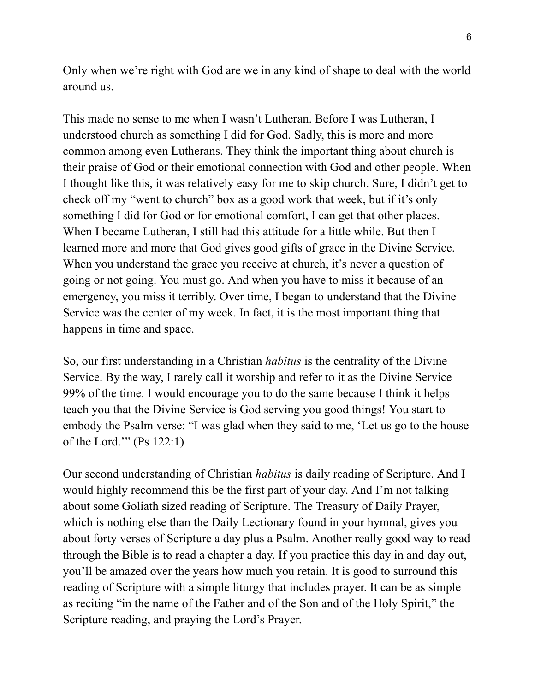Only when we're right with God are we in any kind of shape to deal with the world around us.

This made no sense to me when I wasn't Lutheran. Before I was Lutheran, I understood church as something I did for God. Sadly, this is more and more common among even Lutherans. They think the important thing about church is their praise of God or their emotional connection with God and other people. When I thought like this, it was relatively easy for me to skip church. Sure, I didn't get to check off my "went to church" box as a good work that week, but if it's only something I did for God or for emotional comfort, I can get that other places. When I became Lutheran, I still had this attitude for a little while. But then I learned more and more that God gives good gifts of grace in the Divine Service. When you understand the grace you receive at church, it's never a question of going or not going. You must go. And when you have to miss it because of an emergency, you miss it terribly. Over time, I began to understand that the Divine Service was the center of my week. In fact, it is the most important thing that happens in time and space.

So, our first understanding in a Christian *habitus* is the centrality of the Divine Service. By the way, I rarely call it worship and refer to it as the Divine Service 99% of the time. I would encourage you to do the same because I think it helps teach you that the Divine Service is God serving you good things! You start to embody the Psalm verse: "I was glad when they said to me, 'Let us go to the house of the Lord.'" (Ps 122:1)

Our second understanding of Christian *habitus* is daily reading of Scripture. And I would highly recommend this be the first part of your day. And I'm not talking about some Goliath sized reading of Scripture. The Treasury of Daily Prayer, which is nothing else than the Daily Lectionary found in your hymnal, gives you about forty verses of Scripture a day plus a Psalm. Another really good way to read through the Bible is to read a chapter a day. If you practice this day in and day out, you'll be amazed over the years how much you retain. It is good to surround this reading of Scripture with a simple liturgy that includes prayer. It can be as simple as reciting "in the name of the Father and of the Son and of the Holy Spirit," the Scripture reading, and praying the Lord's Prayer.